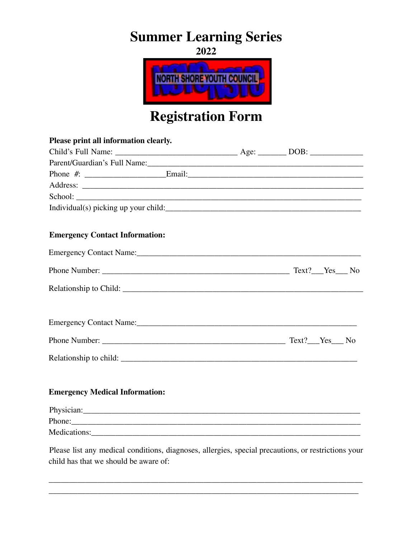# **Summer Learning Series**

**2022 TH SHORE YOUTH COUNCIL** 

# **Registration Form**

| Please print all information clearly.                                                               |  |
|-----------------------------------------------------------------------------------------------------|--|
|                                                                                                     |  |
|                                                                                                     |  |
|                                                                                                     |  |
|                                                                                                     |  |
| School:                                                                                             |  |
|                                                                                                     |  |
| <b>Emergency Contact Information:</b>                                                               |  |
|                                                                                                     |  |
|                                                                                                     |  |
|                                                                                                     |  |
|                                                                                                     |  |
|                                                                                                     |  |
|                                                                                                     |  |
| <b>Emergency Medical Information:</b>                                                               |  |
|                                                                                                     |  |
| Phone:                                                                                              |  |
|                                                                                                     |  |
| Please list any medical conditions, diagnoses, allergies, special precautions, or restrictions your |  |

\_\_\_\_\_\_\_\_\_\_\_\_\_\_\_\_\_\_\_\_\_\_\_\_\_\_\_\_\_\_\_\_\_\_\_\_\_\_\_\_\_\_\_\_\_\_\_\_\_\_\_\_\_\_\_\_\_\_\_\_\_\_\_\_\_\_\_\_\_\_\_\_\_\_\_\_\_ \_\_\_\_\_\_\_\_\_\_\_\_\_\_\_\_\_\_\_\_\_\_\_\_\_\_\_\_\_\_\_\_\_\_\_\_\_\_\_\_\_\_\_\_\_\_\_\_\_\_\_\_\_\_\_\_\_\_\_\_\_\_\_\_\_\_\_\_\_\_\_\_\_\_\_\_

child has that we should be aware of: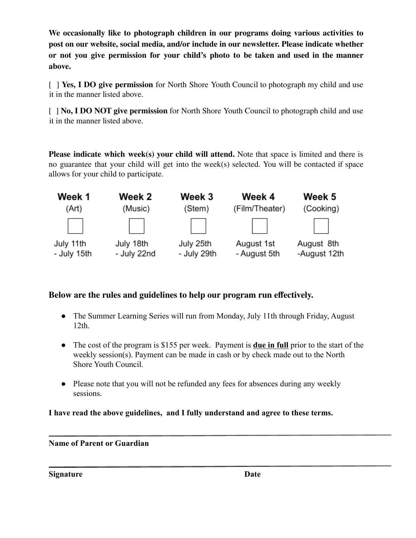**We occasionally like to photograph children in our programs doing various activities to post on our website, social media, and/or include in our newsletter. Please indicate whether or not you give permission for your child's photo to be taken and used in the manner above.**

[ ] **Yes, I DO give permission** for North Shore Youth Council to photograph my child and use it in the manner listed above.

[ ] **No, I DO NOT give permission** for North Shore Youth Council to photograph child and use it in the manner listed above.

**Please indicate which week(s) your child will attend.** Note that space is limited and there is no guarantee that your child will get into the week(s) selected. You will be contacted if space allows for your child to participate.



### **Below are the rules and guidelines to help our program run effectively.**

- **●** The Summer Learning Series will run from Monday, July 11th through Friday, August 12th.
- **●** The cost of the program is \$155 per week. Payment is **due in full** prior to the start of the weekly session(s). Payment can be made in cash or by check made out to the North Shore Youth Council.
- Please note that you will not be refunded any fees for absences during any weekly sessions.

**I have read the above guidelines, and I fully understand and agree to these terms.**

#### **Name of Parent or Guardian**

**Signature Date**